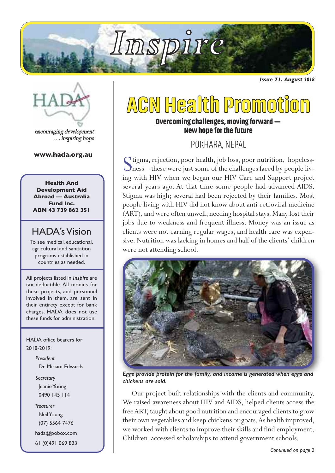

*Issue 71. August 2018*



encouraging development . . . inspiring hope

#### **www.hada.org.au**

**Health And Development Aid Abroad — Australia Fund Inc. ABN 43 739 862 351**

### HADA's Vision

To see medical, educational, agricultural and sanitation programs established in countries as needed.

All projects listed in *Inspire* are tax deductible. All monies for these projects, and personnel involved in them, are sent in their entirety except for bank charges. HADA does not use these funds for administration.

HADA office bearers for 2018-2019:

> *President* Dr. Miriam Edwards *Secretary* Jeanie Young 0490 145 114 *Treasurer*

NeilYoung (07) 5564 7476

hada@pobox.com

61 (0)491 069 823

## **ACN Health Promotion**

### **Overcoming challenges,moving forward — Newhope forthe future**

POKHARA, NEPAL

Stigma, rejection, poor health, job loss, poor nutrition, hopeless-<br>Sness – these were just some of the challenges faced by people living with HIV when we began our HIV Care and Support project several years ago. At that time some people had advanced AIDS. Stigma was high; several had been rejected by their families. Most people living with HIV did not know about anti-retroviral medicine (ART), and were often unwell, needing hospital stays. Many lost their jobs due to weakness and frequent illness. Money was an issue as clients were not earning regular wages, and health care was expensive. Nutrition was lacking in homes and half of the clients'children were not attending school.



*Eggs provide protein for the family, and income is generated when eggs and chickens are sold.*

Our project built relationships with the clients and community. We raised awareness about HIV and AIDS, helped clients access the free ART, taught about good nutrition and encouraged clients to grow their own vegetables and keep chickens or goats.As health improved, we worked with clients to improve their skills and find employment. Children accessed scholarships to attend government schools.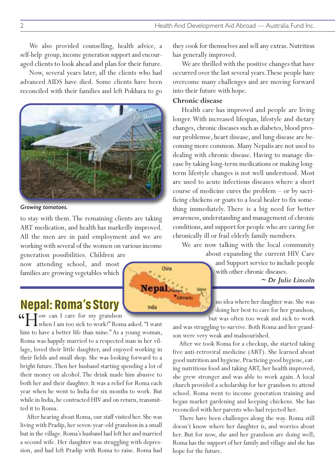We also provided counselling, health advice, a self-help group, income generation support and encouraged clients to look ahead and plan for their future.

Now, several years later, all the clients who had advanced AIDS have died. Some clients have been reconciled with their families and left Pokhara to go



#### *Growing tomatoes.*

to stay with them.The remaining clients are taking ART medication, and health has markedly improved. All the men are in paid employment and we are working with several of the women on various income generation possibilities. Children are

now attending school, and most families are growing vegetables which

## **Nepal: Roma's Story**

How can <sup>I</sup> care for my grandson when I am too sick to work?" Roma asked."I want " him to have a better life than mine." As a young woman, Roma was happily married to a respected man in her village, loved their little daughter, and enjoyed working in their fields and small shop. She was looking forward to a bright future.Then her husband starting spending a lot of their money on alcohol.The drink made him abusive to both her and their daughter. It was a relief for Roma each year when he went to India for six months to work. But while in India, he contracted HIV and on return, transmitted it to Roma.

After hearing about Roma, our staff visited her. She was living with Pradip, her seven-year-old grandson in a small hut in the village. Roma's husband had left her and married a second wife. Her daughter was struggling with depression, and had left Pradip with Roma to raise. Roma had

they cook for themselves and sell any extras. Nutrition has generally improved.

We are thrilled with the positive changes that have occurred over the last several years.These people have overcome many challenges and are moving forward into their future with hope.

#### **Chronic disease**

Health care has improved and people are living longer.With increased lifespan, lifestyle and dietary changes, chronic diseases such as diabetes, blood pressur problemse, heart disease, and lung disease are becoming more common. Many Nepalis are not used to dealing with chronic disease. Having to manage disease by taking long-term medications or making longterm lifestyle changes is not well understood. Most are used to acute infectious diseases where a short course of medicine cures the problem – or by sacrificing chickens or goats to a local healer to fix something immediately. There is a big need for better awareness, understanding and management of chronic conditions,and support for people who are caring for chronically ill or frail elderly family members.

We are now talking with the local community about expanding the current HIV Care

and Support service to include people with other chronic diseases.

*~ Dr Julie Lincoln*

no idea where her daughter was. She was doing her best to care for her grandson, but was often too weak and sick to work

and was struggling to survive. Both Roma and her grandson were very weak and malnourished.

After we took Roma for a checkup, she started taking free anti-retroviral medicine (ART). She learned about good nutrition and hygiene. Practicing good hygiene, eating nutritious food and taking ART, her health improved; she grew stronger and was able to work again. A local church provided a scholarship for her grandson to attend school. Roma went to income generation training and began market gardening and keeping chickens. She has reconciled with her parents who had rejected her.

There have been challenges along the way. Roma still doesn't know where her daughter is, and worries about her. But for now, she and her grandson are doing well; Roma has the support of her family and village and she has hope for the future.



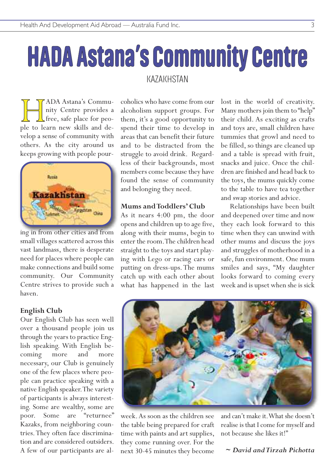# **HADA Astana's Community Centre**

### **KAZAKHSTAN**

**HADA Astana's Community Centre provides a**<br>free, safe place for peo-<br>ple to learn new skills and denity Centre provides a free, safe place for peovelop a sense of community with others. As the city around us keeps growing with people pour-



ing in from other cities and from small villages scattered across this vast landmass, there is desperate need for places where people can make connections and build some community. Our Community Centre strives to provide such a haven.

#### **English Club**

Our English Club has seen well over a thousand people join us through the years to practice English speaking. With English becoming more and more necessary, our Club is genuinely one of the few places where people can practice speaking with a native English speaker.The variety of participants is always interesting. Some are wealthy, some are poor. Some are "returnee" Kazaks, from neighboring countries.They often face discrimination and are considered outsiders. A few of our participants are alcoholics who have come from our alcoholism support groups. For them, it's a good opportunity to spend their time to develop in areas that can benefit their future and to be distracted from the struggle to avoid drink. Regardless of their backgrounds, most members come because they have found the sense of community and belonging they need.

#### **Mums andToddlers' Club**

As it nears 4:00 pm, the door opens and children up to age five, along with their mums, begin to enter the room.The children head straight to the toys and start playing with Lego or racing cars or putting on dress-ups.The mums catch up with each other about what has happened in the last lost in the world of creativity. Many mothers join them to "help" their child. As exciting as crafts and toys are, small children have tummies that growl and need to be filled, so things are cleaned up and a table is spread with fruit, snacks and juice. Once the children are finished and head back to the toys, the mums quickly come to the table to have tea together and swap stories and advice.

Relationships have been built and deepened over time and now they each look forward to this time when they can unwind with other mums and discuss the joys and struggles of motherhood in a safe, fun environment. One mum smiles and says, "My daughter looks forward to coming every week and is upset when she is sick



week.As soon as the children see the table being prepared for craft time with paints and art supplies, they come running over. For the next 30-45 minutes they become

and can't make it.What she doesn't realise is that I come for myself and not because she likes it!"

#### *~ David andTirzah Pichotta*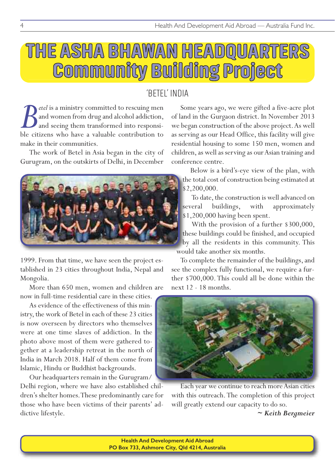## **THE ASHA BHAWAN HEADQUARTERS Community Building Project**

## 'BETEL' INDIA

*Petel* is a ministry committed to rescuing men and women from drug and alcohol addiction, and seeing them transformed into responsible citizens who have a valuable contribution to and women from drug and alcohol addiction, and seeing them transformed into responsible citizens who have a valuable contribution to make in their communities.

The work of Betel in Asia began in the city of Gurugram, on the outskirts of Delhi, in December



1999. From that time, we have seen the project established in 23 cities throughout India, Nepal and Mongolia.

More than 650 men, women and children are now in full-time residential care in these cities.

As evidence of the effectiveness of this ministry, the work of Betel in each of these 23 cities is now overseen by directors who themselves were at one time slaves of addiction. In the photo above most of them were gathered together at a leadership retreat in the north of India in March 2018. Half of them come from Islamic, Hindu or Buddhist backgrounds.

Our headquarters remain in the Gurugram/ Delhi region, where we have also established children's shelter homes.These predominantly care for those who have been victims of their parents' addictive lifestyle.

Some years ago, we were gifted a five-acre plot of land in the Gurgaon district. In November 2013 we began construction of the above project.As well as serving as our Head Office, this facility will give residential housing to some 150 men, women and children, as well as serving as our Asian training and conference centre.

Below is a bird's-eye view of the plan, with the total cost of construction being estimated at \$2,200,000.

To date, the construction is well advanced on several buildings, with approximately \$1,200,000 having been spent.

With the provision of a further \$300,000, these buildings could be finished, and occupied by all the residents in this community. This would take another six months.

To complete the remainder of the buildings, and see the complex fully functional, we require a further \$700,000.This could all be done within the next 12 - 18 months.



Each year we continue to reach more Asian cities with this outreach.The completion of this project will greatly extend our capacity to do so.

*~ Keith Bergmeier*

**Health And Development Aid Abroad PO Box 733, Ashmore City, Qld 4214, Australia**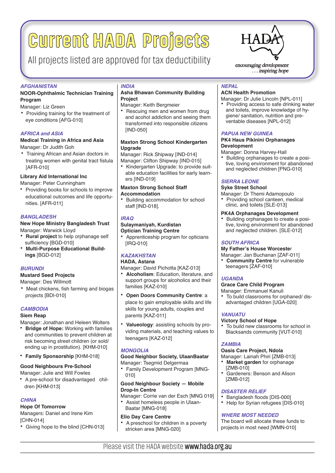## **Current HADA Projects**

## All projects listed are approved for tax deductibility  $\sum_{\text{enconaging development}}$

#### *AFGHANISTAN*

#### **NOOR-Ophthalmic Technician Training Program**

#### Manager: Liz Green

• Providing training for the treatment of eye conditions [AFG-010]

#### *AFRICA and ASIA*

#### **Medical Training in Africa and Asia** Manager: Dr Judith Goh

• Training African and Asian doctors in treating women with genital tract fistula [AFR-010]

#### **Library Aid International Inc**

#### Manager: Peter Cunningham

• Providing books for schools to improve educational outcomes and life opportunities. [AFR-011]

#### *BANGLADESH*

#### **New Hope Ministry Bangladesh Trust**

Manager: Warwick Lloyd

- **Rural project** to help orphanage self sufficiency [BGD-010]
- **Multi-Purpose Educational Buildings** [BGD-012]

#### *BURUNDI*

#### **Mustard Seed Projects**

#### Manager: Des Willmott

• Meat chickens, fish farming and biogas projects [BDI-010]

#### *CAMBODIA*

#### **Siem Reap**

Manager: Jonathan and Heleen Wolters

- **Bridge of Hope:** Working with families and communities to prevent children at risk becoming street children (or sold/ ending up in prostitution). [KHM-010]
- **Family Sponsorship** [KHM-018]

#### **Good Neighbours Pre-School**

Manager: Julie and Will Fowles

• A pre-school for disadvantaged children [KHM-013]

#### *CHINA*

#### **Hope Of Tomorrow**

Managers: Daniel and Irene Kim [CHN-014]

• Giving hope to the blind [CHN-013]

#### *INDIA*

#### **Asha Bhawan Community Building Project**

Manager: Keith Bergmeier

• Rescuing men and women from drug and acohol addiction and seeing them transformed into responsible citizens [IND-050]

#### **Maxton Strong School Kindergarten Upgrade**

Manager: Rick Shipway [IND-014] Manager: Clifton Shipway [IND-015]

• Kindergarten Upgrade: to provide suitable education facilities for early learners [IND-019]

#### **Maxton Strong School Staff Accommodation**

• Building accommodation for school staff [IND-018].

#### *IRAQ*

#### **Sulaymaniyah, Kurdistan Optician Training Centre**

• Apprenticeship program for opticians [IRQ-010]

#### *KAZAKHSTAN*

#### **HADA, Astana**

Manager: David Pichotta [KAZ-013]

- **Alcoholism**: Education, literature, and support groups for alcoholics and their families [KAZ-010]
- **Open Doors Community Centre**: a place to gain employable skills and life skills for young adults, couples and parents [KAZ-011]
- **Valueology**: assisting schools by providing materials, and teaching values to teenagers [KAZ-012]

#### *MONGOLIA*

#### **Good Neighbor Society, UlaanBaatar** Manager: Tsegmid Delgermaa

• Family Development Program [MNG-010]

#### **Good Neighbour Society — Mobile Drop-In Centre**

- Manager: Corrie van der Esch [MNG 019] • Assist homeless people in Ulaan-
- Baatar [MNG-018]

#### **Elio Day Care Centre**

• A preschool for children in a poverty stricken area [MNG-020]



... inspiring hope

#### *NEPAL*

#### **ACN Health Promotion**

Manager: Dr Julie Lincoln [NPL-011] • Providing access to safe drinking water and toilets, improve knowledge of hygiene/ sanitation, nutrition and preventable diseases [NPL-012]

#### *PAPUA NEW GUINEA*

#### **PK4 Haus Pikinini Orphanages Development**

- Manager: Donna Harvey-Hall
- Building orphanages to create a positive, loving environment for abandoned and neglected children [PNG-010]

#### *SIERRA LEONE*

#### **Syke Street School**

- Manager: Dr Themi Adamopoulo
- Providing school canteen, medical clinic, and toilets [SLE-013]

#### **PK4A Orphanages Development**

• Building orphanages to create a positive, loving environment for abandoned and neglected children. [SLE-012]

#### *SOUTH AFRICA*

#### **My Father's House Worceste**r

Manager: Jan Buchanan [ZAF-011] • **Community Centre** for vulnerable teenagers [ZAF-010]

#### *UGANDA*

#### **Grace Care Child Program**

- Manager: Emmanuel Kanuli
- To build classrooms for orphaned/ disadvantaged children [UGA-020]

#### *VANUATU*

#### **Victory School of Hope**

• To build new classrooms for school in Blacksands community [VUT-010]

#### *ZAMBIA*

#### **Oasis Care Project, Ndola**

Manager: Lainah Phiri [ZMB-013]

- **Market garden** for orphanage [ZMB-010]
- Gardeners: Benson and Alison [ZMB-012]

#### *DISASTER RELIEF*

- Bangladesh floods [DIS-000]
- Help for Syrian refugees [DIS-010]

#### *WHERE MOST NEEDED*

The board will allocate these funds to projects in most need [WMN-010]